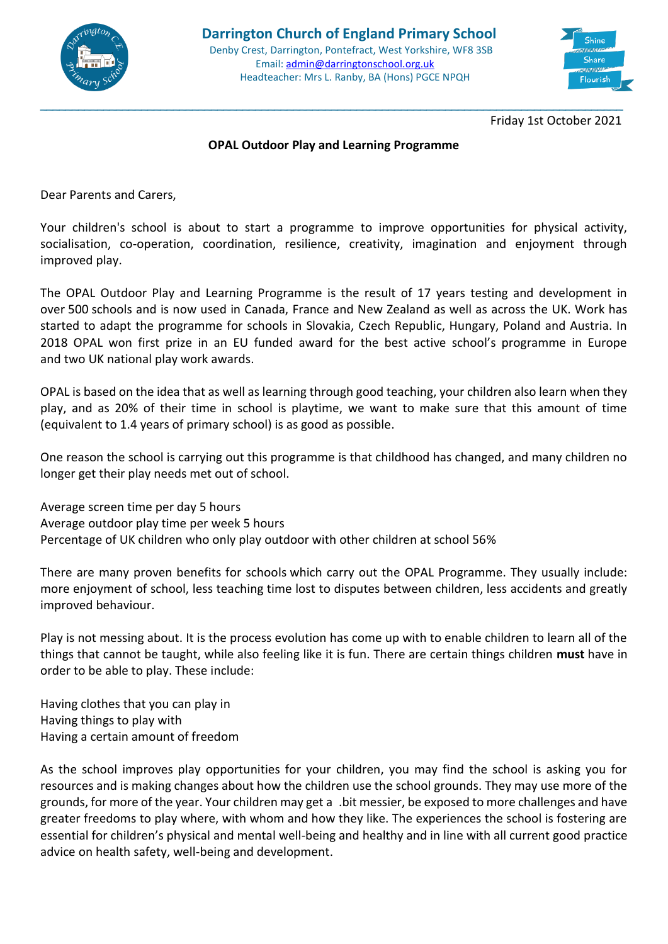



Friday 1st October 2021

## **OPAL Outdoor Play and Learning Programme**

\_\_\_\_\_\_\_\_\_\_\_\_\_\_\_\_\_\_\_\_\_\_\_\_\_\_\_\_\_\_\_\_\_\_\_\_\_\_\_\_\_\_\_\_\_\_\_\_\_\_\_\_\_\_\_\_\_\_\_\_\_\_\_\_\_\_\_\_\_\_\_\_\_\_\_\_\_\_\_\_\_\_\_\_\_\_\_\_\_\_\_\_

Dear Parents and Carers,

Your children's school is about to start a programme to improve opportunities for physical activity, socialisation, co-operation, coordination, resilience, creativity, imagination and enjoyment through improved play.

The OPAL Outdoor Play and Learning Programme is the result of 17 years testing and development in over 500 schools and is now used in Canada, France and New Zealand as well as across the UK. Work has started to adapt the programme for schools in Slovakia, Czech Republic, Hungary, Poland and Austria. In 2018 OPAL won first prize in an EU funded award for the best active school's programme in Europe and two UK national play work awards.

OPAL is based on the idea that as well as learning through good teaching, your children also learn when they play, and as 20% of their time in school is playtime, we want to make sure that this amount of time (equivalent to 1.4 years of primary school) is as good as possible.

One reason the school is carrying out this programme is that childhood has changed, and many children no longer get their play needs met out of school.

Average screen time per day 5 hours Average outdoor play time per week 5 hours Percentage of UK children who only play outdoor with other children at school 56%

There are many proven benefits for schools which carry out the OPAL Programme. They usually include: more enjoyment of school, less teaching time lost to disputes between children, less accidents and greatly improved behaviour.

Play is not messing about. It is the process evolution has come up with to enable children to learn all of the things that cannot be taught, while also feeling like it is fun. There are certain things children **must** have in order to be able to play. These include:

Having clothes that you can play in Having things to play with Having a certain amount of freedom

As the school improves play opportunities for your children, you may find the school is asking you for resources and is making changes about how the children use the school grounds. They may use more of the grounds, for more of the year. Your children may get a .bit messier, be exposed to more challenges and have greater freedoms to play where, with whom and how they like. The experiences the school is fostering are essential for children's physical and mental well-being and healthy and in line with all current good practice advice on health safety, well-being and development.